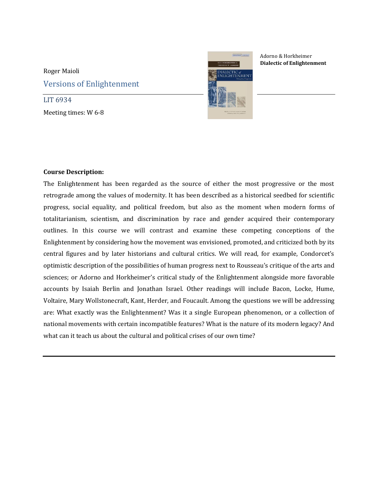## Roger Maioli Versions of Enlightenment

LIT 6934 Meeting times: W 6-8



Adorno & Horkheimer **Dialectic of Enlightenment**

## **Course Description:**

The Enlightenment has been regarded as the source of either the most progressive or the most retrograde among the values of modernity. It has been described as a historical seedbed for scientific progress, social equality, and political freedom, but also as the moment when modern forms of totalitarianism, scientism, and discrimination by race and gender acquired their contemporary outlines. In this course we will contrast and examine these competing conceptions of the Enlightenment by considering how the movement was envisioned, promoted, and criticized both by its central figures and by later historians and cultural critics. We will read, for example, Condorcet's optimistic description of the possibilities of human progress next to Rousseau's critique of the arts and sciences; or Adorno and Horkheimer's critical study of the Enlightenment alongside more favorable accounts by Isaiah Berlin and Jonathan Israel. Other readings will include Bacon, Locke, Hume, Voltaire, Mary Wollstonecraft, Kant, Herder, and Foucault. Among the questions we will be addressing are: What exactly was the Enlightenment? Was it a single European phenomenon, or a collection of national movements with certain incompatible features? What is the nature of its modern legacy? And what can it teach us about the cultural and political crises of our own time?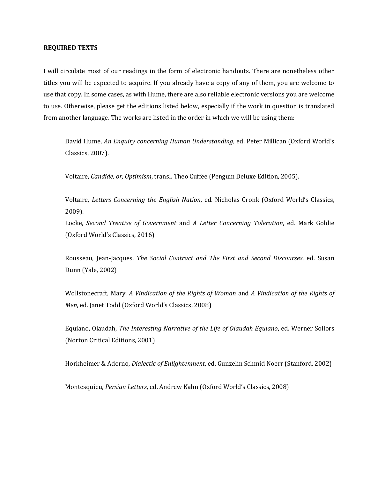## **REQUIRED TEXTS**

I will circulate most of our readings in the form of electronic handouts. There are nonetheless other titles you will be expected to acquire. If you already have a copy of any of them, you are welcome to use that copy. In some cases, as with Hume, there are also reliable electronic versions you are welcome to use. Otherwise, please get the editions listed below, especially if the work in question is translated from another language. The works are listed in the order in which we will be using them:

David Hume, *An Enquiry concerning Human Understanding*, ed. Peter Millican (Oxford World's Classics, 2007).

Voltaire, *Candide, or, Optimism*, transl. Theo Cuffee (Penguin Deluxe Edition, 2005).

Voltaire, *Letters Concerning the English Nation*, ed. Nicholas Cronk (Oxford World's Classics, 2009).

Locke, *Second Treatise of Government* and *A Letter Concerning Toleration*, ed. Mark Goldie (Oxford World's Classics, 2016)

Rousseau, Jean-Jacques, *The Social Contract and The First and Second Discourses*, ed. Susan Dunn (Yale, 2002)

Wollstonecraft, Mary, *A Vindication of the Rights of Woman* and *A Vindication of the Rights of Men*, ed. Janet Todd (Oxford World's Classics, 2008)

Equiano, Olaudah, *The Interesting Narrative of the Life of Olaudah Equiano*, ed. Werner Sollors (Norton Critical Editions, 2001)

Horkheimer & Adorno, *Dialectic of Enlightenment*, ed. Gunzelin Schmid Noerr (Stanford, 2002)

Montesquieu, *Persian Letters*, ed. Andrew Kahn (Oxford World's Classics, 2008)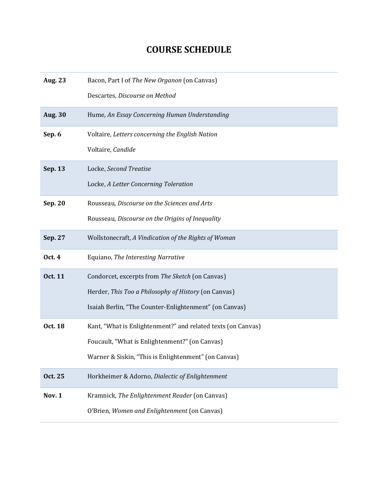## **COURSE SCHEDULE**

| <b>Aug. 23</b> | Bacon, Part I of The New Organon (on Canvas)                 |
|----------------|--------------------------------------------------------------|
|                | Descartes, Discourse on Method                               |
| <b>Aug. 30</b> | Hume, An Essay Concerning Human Understanding                |
| Sep. 6         | Voltaire, Letters concerning the English Nation              |
|                | Voltaire, Candide                                            |
| Sep. 13        | Locke, Second Treatise                                       |
|                | Locke, A Letter Concerning Toleration                        |
| Sep. 20        | Rousseau, Discourse on the Sciences and Arts                 |
|                | Rousseau, Discourse on the Origins of Inequality             |
| Sep. 27        | Wollstonecraft, A Vindication of the Rights of Woman         |
| <b>Oct. 4</b>  | Equiano, The Interesting Narrative                           |
| <b>Oct. 11</b> | Condorcet, excerpts from The Sketch (on Canvas)              |
|                | Herder, This Too a Philosophy of History (on Canvas)         |
|                | Isaiah Berlin, "The Counter-Enlightenment" (on Canvas)       |
| Oct. 18        | Kant, "What is Enlightenment?" and related texts (on Canvas) |
|                | Foucault, "What is Enlightenment?" (on Canvas)               |
|                | Warner & Siskin, "This is Enlightenment" (on Canvas)         |
| Oct. 25        | Horkheimer & Adorno, Dialectic of Enlightenment              |
| <b>Nov. 1</b>  | Kramnick, The Enlightenment Reader (on Canvas)               |
|                | O'Brien, Women and Enlightenment (on Canvas)                 |